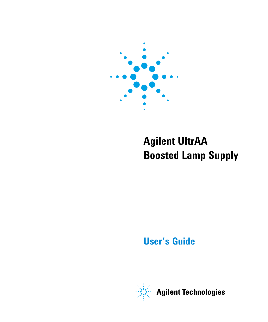

# **Agilent UltrAA Boosted Lamp Supply**

# **User's Guide**



**Agilent Technologies**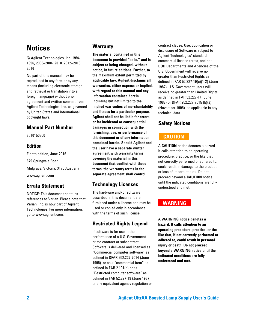## **Notices**

© Agilent Technologies, Inc. 1994, 1996, 2003–2004, 2010, 2012–2013, 2016

No part of this manual may be reproduced in any form or by any means (including electronic storage and retrieval or translation into a foreign language) without prior agreement and written consent from Agilent Technologies, Inc. as governed by United States and international copyright laws.

## **Manual Part Number**

8510150800

### **Edition**

Eighth edition, June 2016 679 Springvale Road Mulgrave, Victoria, 3170 Australia www.agilent.com

## **Errata Statement**

NOTICE: This document contains references to Varian. Please note that Varian, Inc. is now part of Agilent Technologies. For more information, go to www.agilent.com.

#### **Warranty**

**The material contained in this document is provided "as is," and is subject to being changed, without notice, in future editions. Further, to the maximum extent permitted by applicable law, Agilent disclaims all warranties, either express or implied, with regard to this manual and any information contained herein, including but not limited to the implied warranties of merchantability and fitness for a particular purpose. Agilent shall not be liable for errors or for incidental or consequential damages in connection with the furnishing, use, or performance of this document or of any information contained herein. Should Agilent and the user have a separate written agreement with warranty terms covering the material in this document that conflict with these terms, the warranty terms in the separate agreement shall control.** 

## **Technology Licenses**

The hardware and/or software described in this document are furnished under a license and may be used or copied only in accordance with the terms of such license.

## **Restricted Rights Legend**

If software is for use in the performance of a U.S. Government prime contract or subcontract, Software is delivered and licensed as "Commercial computer software" as defined in DFAR 252.227-7014 (June 1995), or as a "commercial item" as defined in FAR 2.101(a) or as "Restricted computer software" as defined in FAR 52.227-19 (June 1987) or any equivalent agency regulation or contract clause. Use, duplication or disclosure of Software is subject to Agilent Technologies' standard commercial license terms, and non-DOD Departments and Agencies of the U.S. Government will receive no greater than Restricted Rights as defined in FAR 52.227-19(c)(1-2) (June 1987). U.S. Government users will receive no greater than Limited Rights as defined in FAR 52.227-14 (June 1987) or DFAR 252.227-7015 (b)(2) (November 1995), as applicable in any technical data.

## **Safety Notices**

## **CAUTION**

A **CAUTION** notice denotes a hazard. It calls attention to an operating procedure, practice, or the like that, if not correctly performed or adhered to, could result in damage to the product or loss of important data. Do not proceed beyond a **CAUTION** notice until the indicated conditions are fully understood and met.

## **WARNING**

**A WARNING notice denotes a hazard. It calls attention to an operating procedure, practice, or the like that, if not correctly performed or adhered to, could result in personal injury or death. Do not proceed beyond a WARNING notice until the indicated conditions are fully understood and met.**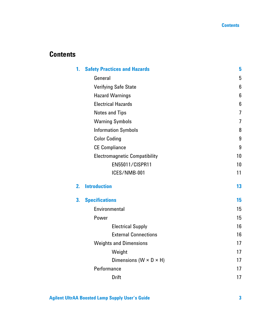## **Contents**

| 1. | <b>Safety Practices and Hazards</b>  | 5              |
|----|--------------------------------------|----------------|
|    | General                              | 5              |
|    | Verifying Safe State                 | 6              |
|    | <b>Hazard Warnings</b>               | 6              |
|    | <b>Electrical Hazards</b>            | 6              |
|    | <b>Notes and Tips</b>                | $\overline{7}$ |
|    | <b>Warning Symbols</b>               | 7              |
|    | <b>Information Symbols</b>           | 8              |
|    | <b>Color Coding</b>                  | 9              |
|    | <b>CE Compliance</b>                 | 9              |
|    | <b>Electromagnetic Compatibility</b> | 10             |
|    | EN55011/CISPR11                      | 10             |
|    | ICES/NMB-001                         | 11             |
| 2. | <b>Introduction</b>                  | 13             |
| 3. | <b>Specifications</b>                | 15             |
|    | Environmental                        | 15             |
|    | Power                                | 15             |
|    | <b>Electrical Supply</b>             | 16             |
|    | <b>External Connections</b>          | 16             |
|    | <b>Weights and Dimensions</b>        | 17             |
|    | Weight                               | 17             |
|    | Dimensions ( $W \times D \times H$ ) | 17             |
|    | Performance                          | 17             |
|    | Drift                                | 17             |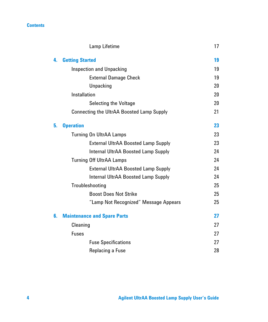## **Contents**

|    | Lamp Lifetime                                    | 17 |
|----|--------------------------------------------------|----|
| 4. | <b>Getting Started</b>                           | 19 |
|    | <b>Inspection and Unpacking</b>                  | 19 |
|    | <b>External Damage Check</b>                     | 19 |
|    | Unpacking                                        | 20 |
|    | Installation                                     | 20 |
|    | <b>Selecting the Voltage</b>                     | 20 |
|    | <b>Connecting the UltrAA Boosted Lamp Supply</b> | 21 |
| 5. | <b>Operation</b>                                 | 23 |
|    | <b>Turning On UltrAA Lamps</b>                   | 23 |
|    | <b>External UltrAA Boosted Lamp Supply</b>       | 23 |
|    | <b>Internal UltrAA Boosted Lamp Supply</b>       | 24 |
|    | <b>Turning Off UltrAA Lamps</b>                  | 24 |
|    | <b>External UltrAA Boosted Lamp Supply</b>       | 24 |
|    | Internal UltrAA Boosted Lamp Supply              | 24 |
|    | Troubleshooting                                  | 25 |
|    | <b>Boost Does Not Strike</b>                     | 25 |
|    | "Lamp Not Recognized" Message Appears            | 25 |
| 6. | <b>Maintenance and Spare Parts</b>               | 27 |
|    | Cleaning                                         | 27 |
|    | <b>Fuses</b>                                     | 27 |
|    | <b>Fuse Specifications</b>                       | 27 |
|    | Replacing a Fuse                                 | 28 |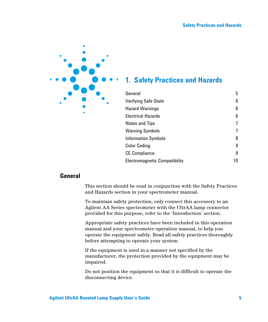

## **1. Safety Practices and Hazards**

| General                       | 5  |
|-------------------------------|----|
| <b>Verifying Safe State</b>   | 6  |
| <b>Hazard Warnings</b>        | 6  |
| <b>Electrical Hazards</b>     | 6  |
| Notes and Tips                |    |
| <b>Warning Symbols</b>        |    |
| Information Symbols           | 8  |
| <b>Color Coding</b>           | 9  |
| <b>CE Compliance</b>          | 9  |
| Electromagnetic Compatibility | 10 |

## **General**

This section should be read in conjunction with the Safety Practices and Hazards section in your spectrometer manual.

To maintain safety protection, only connect this accessory to an Agilent AA Series spectrometer with the UltrAA lamp connector provided for this purpose, refer to the 'Introduction' section.

Appropriate safety practices have been included in this operation manual and your spectrometer operation manual, to help you operate the equipment safely. Read all safety practices thoroughly before attempting to operate your system.

If the equipment is used in a manner not specified by the manufacturer, the protection provided by the equipment may be impaired.

Do not position the equipment so that it is difficult to operate the disconnecting device.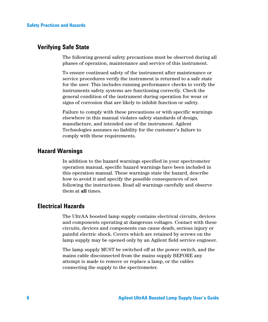## **Verifying Safe State**

The following general safety precautions must be observed during all phases of operation, maintenance and service of this instrument.

To ensure continued safety of the instrument after maintenance or service procedures verify the instrument is returned to a safe state for the user. This includes running performance checks to verify the instruments safety systems are functioning correctly. Check the general condition of the instrument during operation for wear or signs of corrosion that are likely to inhibit function or safety.

Failure to comply with these precautions or with specific warnings elsewhere in this manual violates safety standards of design, manufacture, and intended use of the instrument. Agilent Technologies assumes no liability for the customer's failure to comply with these requirements.

## **Hazard Warnings**

In addition to the hazard warnings specified in your spectrometer operation manual, specific hazard warnings have been included in this operation manual. These warnings state the hazard, describe how to avoid it and specify the possible consequences of not following the instructions. Read all warnings carefully and observe them at **all** times.

## **Electrical Hazards**

The UltrAA boosted lamp supply contains electrical circuits, devices and components operating at dangerous voltages. Contact with these circuits, devices and components can cause death, serious injury or painful electric shock. Covers which are retained by screws on the lamp supply may be opened only by an Agilent field service engineer.

The lamp supply MUST be switched off at the power switch, and the mains cable disconnected from the mains supply BEFORE any attempt is made to remove or replace a lamp, or the cables connecting the supply to the spectrometer.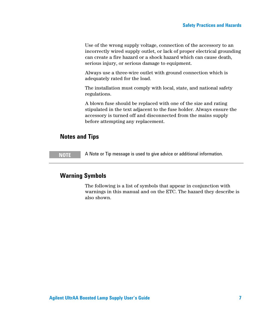Use of the wrong supply voltage, connection of the accessory to an incorrectly wired supply outlet, or lack of proper electrical grounding can create a fire hazard or a shock hazard which can cause death, serious injury, or serious damage to equipment.

Always use a three-wire outlet with ground connection which is adequately rated for the load.

The installation must comply with local, state, and national safety regulations.

A blown fuse should be replaced with one of the size and rating stipulated in the text adjacent to the fuse holder. Always ensure the accessory is turned off and disconnected from the mains supply before attempting any replacement.

## **Notes and Tips**

**NOTE** A Note or Tip message is used to give advice or additional information.

## **Warning Symbols**

The following is a list of symbols that appear in conjunction with warnings in this manual and on the ETC. The hazard they describe is also shown.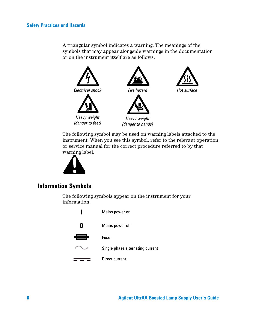A triangular symbol indicates a warning. The meanings of the symbols that may appear alongside warnings in the documentation or on the instrument itself are as follows:



The following symbol may be used on warning labels attached to the instrument. When you see this symbol, refer to the relevant operation or service manual for the correct procedure referred to by that warning label.



## **Information Symbols**

The following symbols appear on the instrument for your information.

|   | Mains power on                   |
|---|----------------------------------|
| n | Mains power off                  |
|   | Fuse                             |
|   | Single phase alternating current |
|   | Direct current                   |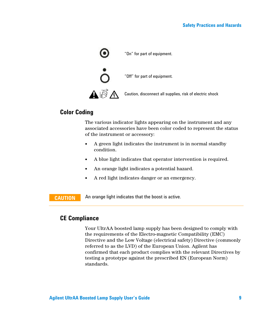

## **Color Coding**

The various indicator lights appearing on the instrument and any associated accessories have been color coded to represent the status of the instrument or accessory:

- A green light indicates the instrument is in normal standby condition.
- A blue light indicates that operator intervention is required.
- An orange light indicates a potential hazard.
- A red light indicates danger or an emergency.

**CAUTION** An orange light indicates that the boost is active.

## **CE Compliance**

Your UltrAA boosted lamp supply has been designed to comply with the requirements of the Electro-magnetic Compatibility (EMC) Directive and the Low Voltage (electrical safety) Directive (commonly referred to as the LVD) of the European Union. Agilent has confirmed that each product complies with the relevant Directives by testing a prototype against the prescribed EN (European Norm) standards.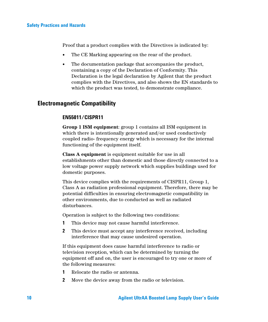Proof that a product complies with the Directives is indicated by:

- The CE Marking appearing on the rear of the product.
- The documentation package that accompanies the product, containing a copy of the Declaration of Conformity. This Declaration is the legal declaration by Agilent that the product complies with the Directives, and also shows the EN standards to which the product was tested, to demonstrate compliance.

## **Electromagnetic Compatibility**

### **EN55011/CISPR11**

**Group 1 ISM equipment**: group 1 contains all ISM equipment in which there is intentionally generated and/or used conductively coupled radio- frequency energy which is necessary for the internal functioning of the equipment itself.

**Class A equipment** is equipment suitable for use in all establishments other than domestic and those directly connected to a low voltage power supply network which supplies buildings used for domestic purposes.

This device complies with the requirements of CISPR11, Group 1, Class A as radiation professional equipment. Therefore, there may be potential difficulties in ensuring electromagnetic compatibility in other environments, due to conducted as well as radiated disturbances.

Operation is subject to the following two conditions:

- **1** This device may not cause harmful interference.
- **2** This device must accept any interference received, including interference that may cause undesired operation.

If this equipment does cause harmful interference to radio or television reception, which can be determined by turning the equipment off and on, the user is encouraged to try one or more of the following measures:

- **1** Relocate the radio or antenna.
- **2** Move the device away from the radio or television.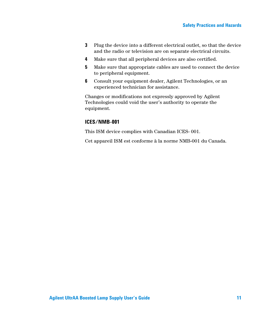- **3** Plug the device into a different electrical outlet, so that the device and the radio or television are on separate electrical circuits.
- **4** Make sure that all peripheral devices are also certified.
- **5** Make sure that appropriate cables are used to connect the device to peripheral equipment.
- **6** Consult your equipment dealer, Agilent Technologies, or an experienced technician for assistance.

Changes or modifications not expressly approved by Agilent Technologies could void the user's authority to operate the equipment.

#### **ICES/NMB-001**

This ISM device complies with Canadian ICES- 001.

Cet appareil ISM est conforme à la norme NMB-001 du Canada.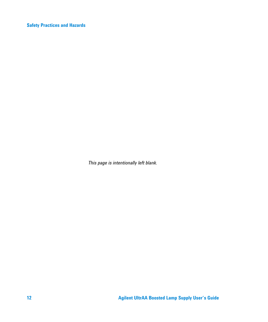**Safety Practices and Hazards** 

*This page is intentionally left blank.*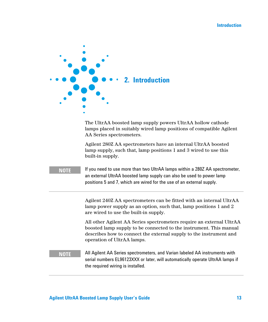

The UltrAA boosted lamp supply powers UltrAA hollow cathode lamps placed in suitably wired lamp positions of compatible Agilent AA Series spectrometers.

Agilent 280Z AA spectrometers have an internal UltrAA boosted lamp supply, such that, lamp positions 1 and 3 wired to use this built-in supply.

**NOTE** If you need to use more than two UltrAA lamps within a 280Z AA spectrometer, an external UltrAA boosted lamp supply can also be used to power lamp positions 5 and 7, which are wired for the use of an external supply.

> Agilent 240Z AA spectrometers can be fitted with an internal UltrAA lamp power supply as an option, such that, lamp positions 1 and 2 are wired to use the built-in supply.

> All other Agilent AA Series spectrometers require an external UltrAA boosted lamp supply to be connected to the instrument. This manual describes how to connect the external supply to the instrument and operation of UltrAA lamps.

**NOTE** All Agilent AA Series spectrometers, and Varian labeled AA instruments with serial numbers EL96123XXX or later, will automatically operate UltrAA lamps if the required wiring is installed.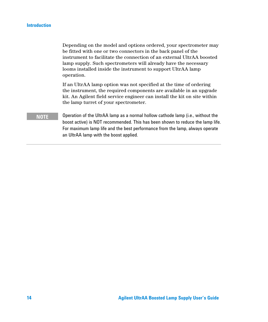Depending on the model and options ordered, your spectrometer may be fitted with one or two connectors in the back panel of the instrument to facilitate the connection of an external UltrAA boosted lamp supply. Such spectrometers will already have the necessary looms installed inside the instrument to support UltrAA lamp operation.

If an UltrAA lamp option was not specified at the time of ordering the instrument, the required components are available in an upgrade kit. An Agilent field service engineer can install the kit on site within the lamp turret of your spectrometer.

**NOTE** Operation of the UltrAA lamp as a normal hollow cathode lamp (i.e., without the boost active) is NOT recommended. This has been shown to reduce the lamp life. For maximum lamp life and the best performance from the lamp, always operate an UltrAA lamp with the boost applied.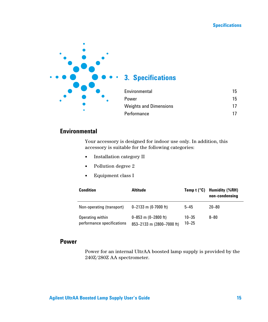

## **Environmental**

Your accessory is designed for indoor use only. In addition, this accessory is suitable for the following categories:

- Installation category II
- Pollution degree 2
- Equipment class I

| <b>Condition</b>                               | Altitude                                                 | Temp t $(^\circ \mathsf{C})$ | Humidity (%RH)<br>non-condensing |
|------------------------------------------------|----------------------------------------------------------|------------------------------|----------------------------------|
| Non-operating (transport)                      | $0 - 2133$ m (0-7000 ft)                                 | $5 - 45$                     | $20 - 80$                        |
| Operating within<br>performance specifications | $0 - 853$ m $(0 - 2800$ ft)<br>853-2133 m (2800-7000 ft) | $10 - 35$<br>$10 - 25$       | $8 - 80$                         |

## **Power**

Power for an internal UltrAA boosted lamp supply is provided by the 240Z/280Z AA spectrometer.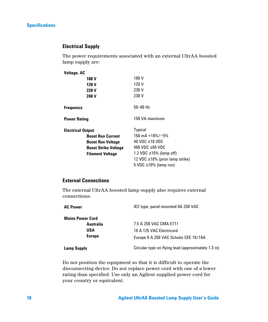## **Electrical Supply**

The power requirements associated with an external UltrAA boosted lamp supply are:

| Voltage, AC                 |                                      |
|-----------------------------|--------------------------------------|
| 100 V                       | 100 V                                |
| 120 V                       | 120 V                                |
| 220 V                       | 230 V                                |
| 240 V                       | 230 V                                |
| <b>Frequency</b>            | $50 - 60$ Hz                         |
| <b>Power Rating</b>         | 150 VA maximum                       |
| <b>Electrical Output</b>    | Typical                              |
| <b>Boost Run Current</b>    | 150 mA +10%/-5%                      |
| <b>Boost Run Voltage</b>    | 40 VDC $\pm$ 10 VDC                  |
| <b>Boost Strike Voltage</b> | 400 VDC $\pm 60$ VDC                 |
| <b>Filament Voltage</b>     | 1.2 VDC $\pm$ 10% (lamp off)         |
|                             | 12 VDC $\pm$ 10% (prior lamp strike) |
|                             | $5$ VDC $\pm 10\%$ (lamp run)        |

## **External Connections**

The external UltrAA boosted lamp supply also requires external connections:

| AC Power                |               | IEC type, panel-mounted 6A 250 VAC                 |
|-------------------------|---------------|----------------------------------------------------|
| <b>Mains Power Cord</b> |               |                                                    |
|                         | Australia     | 7.5 A 250 VAC CMA E711                             |
|                         | <b>USA</b>    | 10 A 125 VAC Electricord                           |
|                         | <b>Europe</b> | Europe 6 A 250 VAC Schuko CEE 10/16A               |
| <b>Lamp Supply</b>      |               | Circular type on flying lead (approximately 1.3 m) |

Do not position the equipment so that it is difficult to operate the disconnecting device. Do not replace power cord with one of a lower rating than specified. Use only an Agilent supplied power cord for your country or equivalent.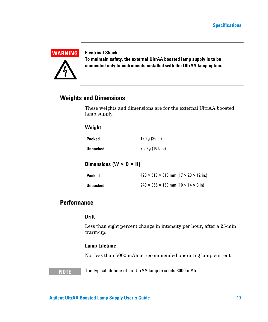

**To maintain safety, the external UltrAA boosted lamp supply is to be connected only to instruments installed with the UltrAA lamp option.** 

## **Weights and Dimensions**

These weights and dimensions are for the external UltrAA boosted lamp supply.

## **Weight**

| Packed   | 12 kg (26 lb)    |  |
|----------|------------------|--|
| Unpacked | 7.5 kg (16.5 lb) |  |

## **Dimensions (W**  $\times$  **D**  $\times$  **H)**

| Packed   | $420 \times 510 \times 310$ mm (17 $\times$ 20 $\times$ 12 in.) |
|----------|-----------------------------------------------------------------|
| Unpacked | $240 \times 355 \times 150$ mm (10 $\times$ 14 $\times$ 6 in)   |

## **Performance**

## **Drift**

Less than eight percent change in intensity per hour, after a 25-min warm-up.

## **Lamp Lifetime**

Not less than 5000 mAh at recommended operating lamp current.

**NOTE** The typical lifetime of an UltrAA lamp exceeds 8000 mAh.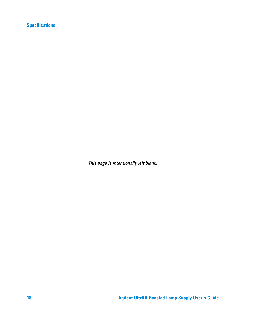**Specifications** 

*This page is intentionally left blank.*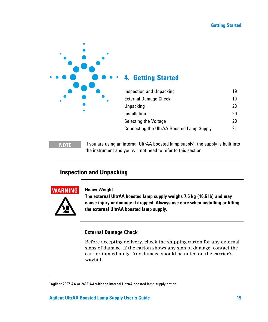

## **4. Getting Started**

| <b>Inspection and Unpacking</b>                  | 19 |
|--------------------------------------------------|----|
| <b>External Damage Check</b>                     | 19 |
| Unpacking                                        | 20 |
| Installation                                     | 20 |
| <b>Selecting the Voltage</b>                     | 20 |
| <b>Connecting the UltrAA Boosted Lamp Supply</b> | 21 |

**NOTE** If you are using an internal UltrAA boosted lamp supply<sup>1</sup>, the supply is built into the instrument and you will not need to refer to this section.

## **Inspection and Unpacking**



1

**The external UltrAA boosted lamp supply weighs 7.5 kg (16.5 lb) and may cause injury or damage if dropped. Always use care when installing or lifting the external UltrAA boosted lamp supply.** 

## **External Damage Check**

Before accepting delivery, check the shipping carton for any external signs of damage. If the carton shows any sign of damage, contact the carrier immediately. Any damage should be noted on the carrier's waybill.

<sup>1</sup>Agilent 280Z AA or 240Z AA with the internal UltrAA boosted lamp supply option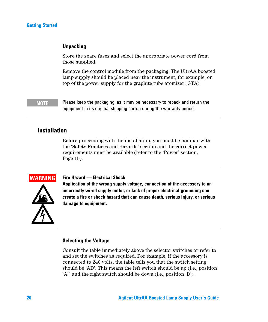### **Unpacking**

Store the spare fuses and select the appropriate power cord from those supplied.

Remove the control module from the packaging. The UltrAA boosted lamp supply should be placed near the instrument, for example, on top of the power supply for the graphite tube atomizer (GTA).

**NOTE** Please keep the packaging, as it may be necessary to repack and return the equipment in its original shipping carton during the warranty period.

## **Installation**

Before proceeding with the installation, you must be familiar with the 'Safety Practices and Hazards' section and the correct power requirements must be available (refer to the 'Power' section, Page 15).



**WARNING Fire Hazard — Electrical Shock** 

**Application of the wrong supply voltage, connection of the accessory to an incorrectly wired supply outlet, or lack of proper electrical grounding can create a fire or shock hazard that can cause death, serious injury, or serious damage to equipment.** 

#### **Selecting the Voltage**

Consult the table immediately above the selector switches or refer to and set the switches as required. For example, if the accessory is connected to 240 volts, the table tells you that the switch setting should be 'AD'. This means the left switch should be up (i.e., position 'A') and the right switch should be down (i.e., position 'D').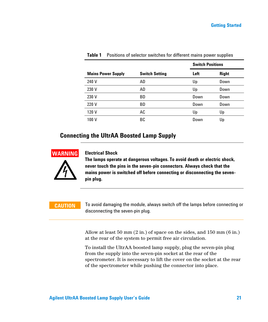|                           |                       | <b>Switch Positions</b> |              |
|---------------------------|-----------------------|-------------------------|--------------|
| <b>Mains Power Supply</b> | <b>Switch Setting</b> | Left                    | <b>Right</b> |
| 240 V                     | AD                    | Up                      | Down         |
| 230 V                     | AD                    | Up                      | Down         |
| 230 V                     | ВD                    | Down                    | Down         |
| 220 V                     | ВD                    | Down                    | Down         |
| 120 V                     | AC                    | Up                      | Up           |
| 100V                      | ВC                    | Down                    | Up           |

**Table 1** Positions of selector switches for different mains power supplies

## **Connecting the UltrAA Boosted Lamp Supply**



**The lamps operate at dangerous voltages. To avoid death or electric shock, never touch the pins in the seven-pin connectors. Always check that the mains power is switched off before connecting or disconnecting the sevenpin plug.** 

**CAUTION** To avoid damaging the module, always switch off the lamps before connecting or disconnecting the seven-pin plug.

> Allow at least 50 mm (2 in.) of space on the sides, and 150 mm (6 in.) at the rear of the system to permit free air circulation.

> To install the UltrAA boosted lamp supply, plug the seven-pin plug from the supply into the seven-pin socket at the rear of the spectrometer. It is necessary to lift the cover on the socket at the rear of the spectrometer while pushing the connector into place.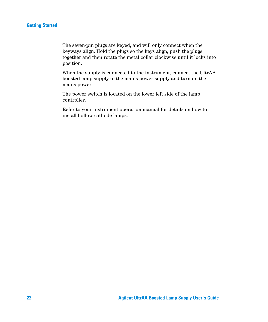The seven-pin plugs are keyed, and will only connect when the keyways align. Hold the plugs so the keys align, push the plugs together and then rotate the metal collar clockwise until it locks into position.

When the supply is connected to the instrument, connect the UltrAA boosted lamp supply to the mains power supply and turn on the mains power.

The power switch is located on the lower left side of the lamp controller.

Refer to your instrument operation manual for details on how to install hollow cathode lamps.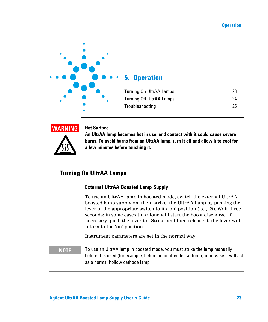

| <b>Turning On UltrAA Lamps</b>  | 23 |
|---------------------------------|----|
| <b>Turning Off UltrAA Lamps</b> | 24 |
| Troubleshooting                 | 25 |



**An UltrAA lamp becomes hot in use, and contact with it could cause severe burns. To avoid burns from an UltrAA lamp, turn it off and allow it to cool for a few minutes before touching it.** 

## **Turning On UltrAA Lamps**

## **External UltrAA Boosted Lamp Supply**

To use an UltrAA lamp in boosted mode, switch the external UltrAA boosted lamp supply on, then 'strike' the UltrAA lamp by pushing the lever of the appropriate switch to its 'on' position (i.e.,  $\odot$ ). Wait three seconds; in some cases this alone will start the boost discharge. If necessary, push the lever to `Strike' and then release it; the lever will return to the 'on' position.

Instrument parameters are set in the normal way.

**NOTE** To use an UltrAA lamp in boosted mode, you must strike the lamp manually before it is used (for example, before an unattended autorun) otherwise it will act as a normal hollow cathode lamp.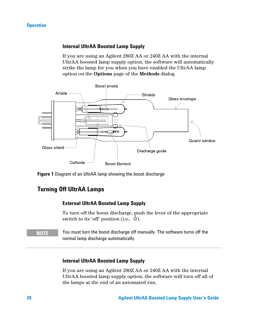#### **Internal UltrAA Boosted Lamp Supply**

If you are using an Agilent 280Z AA or 240Z AA with the internal UltrAA boosted lamp supply option, the software will automatically strike the lamp for you when you have enabled the UltrAA lamp option on the **Options** page of the **Methods** dialog.



**Figure 1** Diagram of an UltrAA lamp showing the boost discharge

## **Turning Off UltrAA Lamps**

## **External UltrAA Boosted Lamp Supply**

To turn off the boost discharge, push the lever of the appropriate switch to its 'off' position (i.e.,  $\dot{\mathsf{O}}$ ).

**NOTE** You must turn the boost discharge off manually. The software turns off the normal lamp discharge automatically.

## **Internal UltrAA Boosted Lamp Supply**

If you are using an Agilent 280Z AA or 240Z AA with the internal UltrAA boosted lamp supply option, the software will turn off all of the lamps at the end of an automated run.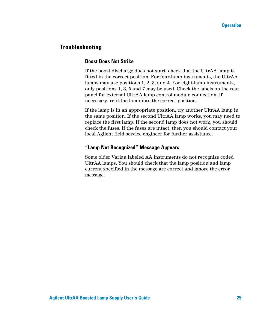## **Troubleshooting**

### **Boost Does Not Strike**

If the boost discharge does not start, check that the UltrAA lamp is fitted in the correct position. For four-lamp instruments, the UltrAA lamps may use positions 1, 2, 3, and 4. For eight-lamp instruments, only positions 1, 3, 5 and 7 may be used. Check the labels on the rear panel for external UltrAA lamp control module connection. If necessary, refit the lamp into the correct position.

If the lamp is in an appropriate position, try another UltrAA lamp in the same position. If the second UltrAA lamp works, you may need to replace the first lamp. If the second lamp does not work, you should check the fuses. If the fuses are intact, then you should contact your local Agilent field service engineer for further assistance.

#### **"Lamp Not Recognized" Message Appears**

Some older Varian labeled AA instruments do not recognize coded UltrAA lamps. You should check that the lamp position and lamp current specified in the message are correct and ignore the error message.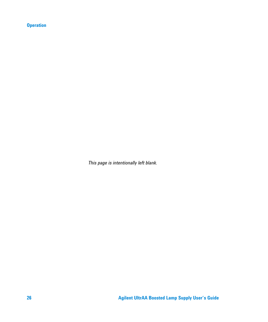**Operation** 

*This page is intentionally left blank.*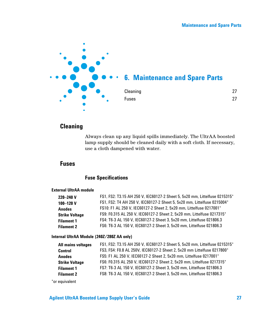

## **Cleaning**

Always clean up any liquid spills immediately. The UltrAA boosted lamp supply should be cleaned daily with a soft cloth. If necessary, use a cloth dampened with water.

## **Fuses**

## **Fuse Specifications**

#### **External UltrAA module**

| $220 - 240$ V         | FS1, FS2: T3.15 AH 250 V, IEC60127-2 Sheet 5, 5x20 mm, Littelfuse 0215315* |
|-----------------------|----------------------------------------------------------------------------|
| $100 - 120$ V         | FS1, FS2: T4 AH 250 V, IEC60127-2 Sheet 5, 5x20 mm, Littelfuse 0215004*    |
| <b>Anodes</b>         | FS10: F1 AL 250 V, IEC60127-2 Sheet 2, 5x20 mm, Littelfuse 0217001*        |
| <b>Strike Voltage</b> | FS9: F0.315 AL 250 V, IEC60127-2 Sheet 2, 5x20 mm, Littelfuse 0217315*     |
| <b>Filament 1</b>     | FS4: T6-3 AL 150 V, IEC60127-2 Sheet 3, 5x20 mm, Littelfuse 021806.3       |
| <b>Filament 2</b>     | FS6: T6-3 AL 150 V. IEC60127-2 Sheet 3. 5x20 mm. Littelfuse 021806.3       |

#### **Internal UltrAA Module (240Z/280Z AA only)**

| FS1, FS2: T3.15 AH 250 V, IEC60127-2 Sheet 5, 5x20 mm, Littelfuse 0215315* |
|----------------------------------------------------------------------------|
| FS3, FS4: F0.8 AL 250V, IEC60127-2 Sheet 2, 5x20 mm Littelfuse 0217800*    |
| FS5: F1 AL 250 V. IEC60127-2 Sheet 2. 5x20 mm. Littelfuse 0217001*         |
| FS6: F0.315 AL 250 V, IEC60127-2 Sheet 2, 5x20 mm, Littelfuse 0217315*     |
| FS7: T6-3 AL 150 V, IEC60127-2 Sheet 3, 5x20 mm, Littelfuse 021806.3       |
| FS8: T6-3 AL 150 V, IEC60127-2 Sheet 3, 5x20 mm, Littelfuse 021806.3       |
|                                                                            |

\*or equivalent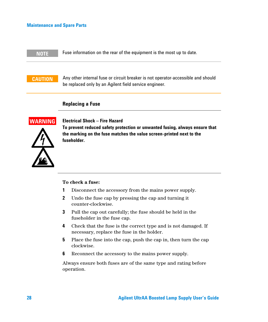#### **Maintenance and Spare Parts**

**NOTE** Fuse information on the rear of the equipment is the most up to date.

**CAUTION** Any other internal fuse or circuit breaker is not operator-accessible and should be replaced only by an Agilent field service engineer.

### **Replacing a Fuse**

## **WARNING Electrical Shock – Fire Hazard**



**To prevent reduced safety protection or unwanted fusing, always ensure that the marking on the fuse matches the value screen-printed next to the fuseholder.** 

#### **To check a fuse:**

- **1** Disconnect the accessory from the mains power supply.
- **2** Undo the fuse cap by pressing the cap and turning it counter-clockwise.
- **3** Pull the cap out carefully; the fuse should be held in the fuseholder in the fuse cap.
- **4** Check that the fuse is the correct type and is not damaged. If necessary, replace the fuse in the holder.
- **5** Place the fuse into the cap, push the cap in, then turn the cap clockwise.
- **6** Reconnect the accessory to the mains power supply.

Always ensure both fuses are of the same type and rating before operation.